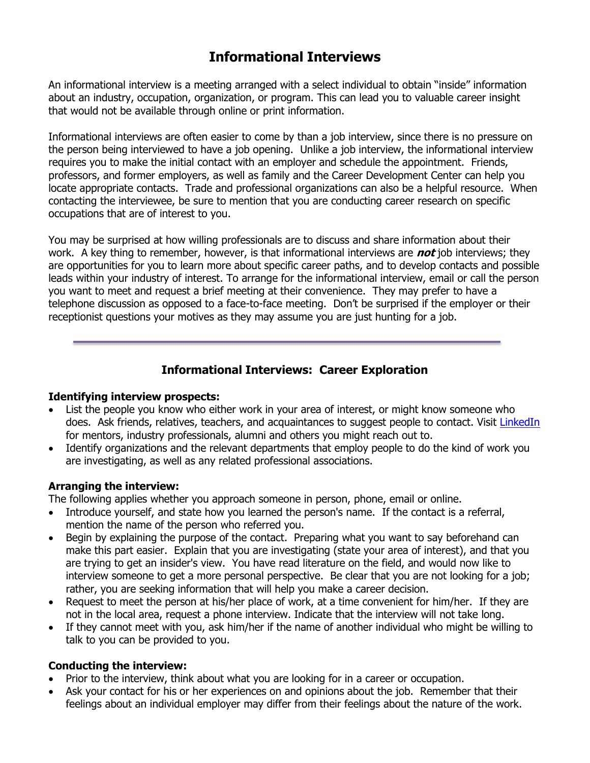# **Informational Interviews**

An informational interview is a meeting arranged with a select individual to obtain "inside" information about an industry, occupation, organization, or program. This can lead you to valuable career insight that would not be available through online or print information.

Informational interviews are often easier to come by than a job interview, since there is no pressure on the person being interviewed to have a job opening. Unlike a job interview, the informational interview requires you to make the initial contact with an employer and schedule the appointment. Friends, professors, and former employers, as well as family and the Career Development Center can help you locate appropriate contacts. Trade and professional organizations can also be a helpful resource. When contacting the interviewee, be sure to mention that you are conducting career research on specific occupations that are of interest to you.

You may be surprised at how willing professionals are to discuss and share information about their work. A key thing to remember, however, is that informational interviews are **not** job interviews; they are opportunities for you to learn more about specific career paths, and to develop contacts and possible leads within your industry of interest. To arrange for the informational interview, email or call the person you want to meet and request a brief meeting at their convenience. They may prefer to have a telephone discussion as opposed to a face-to-face meeting. Don't be surprised if the employer or their receptionist questions your motives as they may assume you are just hunting for a job.

## **Informational Interviews: Career Exploration**

### **Identifying interview prospects:**

- List the people you know who either work in your area of interest, or might know someone who does. Ask friends, relatives, teachers, and acquaintances to suggest people to contact. Visit [LinkedIn](https://www.linkedin.com/) for mentors, industry professionals, alumni and others you might reach out to.
- Identify organizations and the relevant departments that employ people to do the kind of work you are investigating, as well as any related professional associations.

### **Arranging the interview:**

The following applies whether you approach someone in person, phone, email or online.

- Introduce yourself, and state how you learned the person's name. If the contact is a referral, mention the name of the person who referred you.
- Begin by explaining the purpose of the contact. Preparing what you want to say beforehand can make this part easier. Explain that you are investigating (state your area of interest), and that you are trying to get an insider's view. You have read literature on the field, and would now like to interview someone to get a more personal perspective. Be clear that you are not looking for a job; rather, you are seeking information that will help you make a career decision.
- Request to meet the person at his/her place of work, at a time convenient for him/her. If they are not in the local area, request a phone interview. Indicate that the interview will not take long.
- If they cannot meet with you, ask him/her if the name of another individual who might be willing to talk to you can be provided to you.

### **Conducting the interview:**

- Prior to the interview, think about what you are looking for in a career or occupation.
- Ask your contact for his or her experiences on and opinions about the job. Remember that their feelings about an individual employer may differ from their feelings about the nature of the work.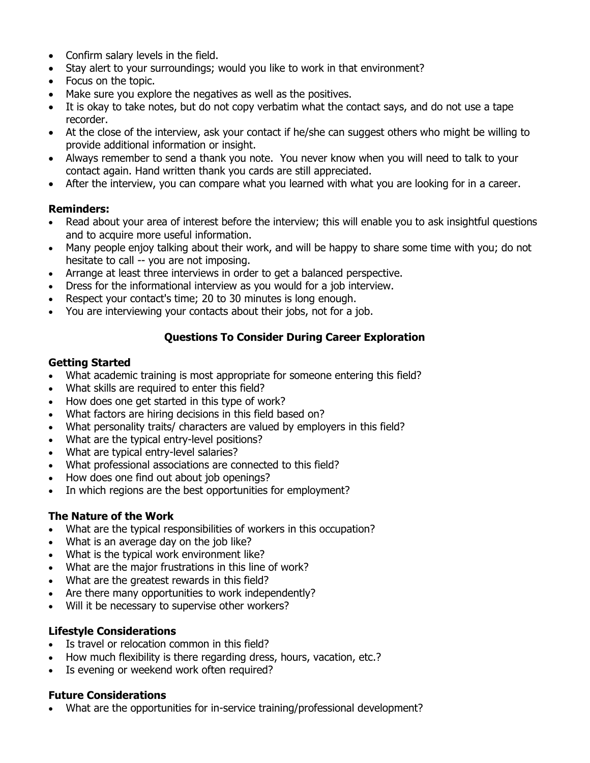- Confirm salary levels in the field.
- Stay alert to your surroundings; would you like to work in that environment?
- Focus on the topic.
- Make sure you explore the negatives as well as the positives.
- It is okay to take notes, but do not copy verbatim what the contact says, and do not use a tape recorder.
- At the close of the interview, ask your contact if he/she can suggest others who might be willing to provide additional information or insight.
- Always remember to send a thank you note. You never know when you will need to talk to your contact again. Hand written thank you cards are still appreciated.
- After the interview, you can compare what you learned with what you are looking for in a career.

#### **Reminders:**

- Read about your area of interest before the interview; this will enable you to ask insightful questions and to acquire more useful information.
- Many people enjoy talking about their work, and will be happy to share some time with you; do not hesitate to call -- you are not imposing.
- Arrange at least three interviews in order to get a balanced perspective.
- Dress for the informational interview as you would for a job interview.
- Respect your contact's time; 20 to 30 minutes is long enough.
- You are interviewing your contacts about their jobs, not for a job.

## **Questions To Consider During Career Exploration**

#### **Getting Started**

- What academic training is most appropriate for someone entering this field?
- What skills are required to enter this field?
- How does one get started in this type of work?
- What factors are hiring decisions in this field based on?
- What personality traits/ characters are valued by employers in this field?
- What are the typical entry-level positions?
- What are typical entry-level salaries?
- What professional associations are connected to this field?
- How does one find out about job openings?
- In which regions are the best opportunities for employment?

### **The Nature of the Work**

- What are the typical responsibilities of workers in this occupation?
- What is an average day on the job like?
- What is the typical work environment like?
- What are the major frustrations in this line of work?
- What are the greatest rewards in this field?
- Are there many opportunities to work independently?
- Will it be necessary to supervise other workers?

### **Lifestyle Considerations**

- Is travel or relocation common in this field?
- How much flexibility is there regarding dress, hours, vacation, etc.?
- Is evening or weekend work often required?

### **Future Considerations**

What are the opportunities for in-service training/professional development?